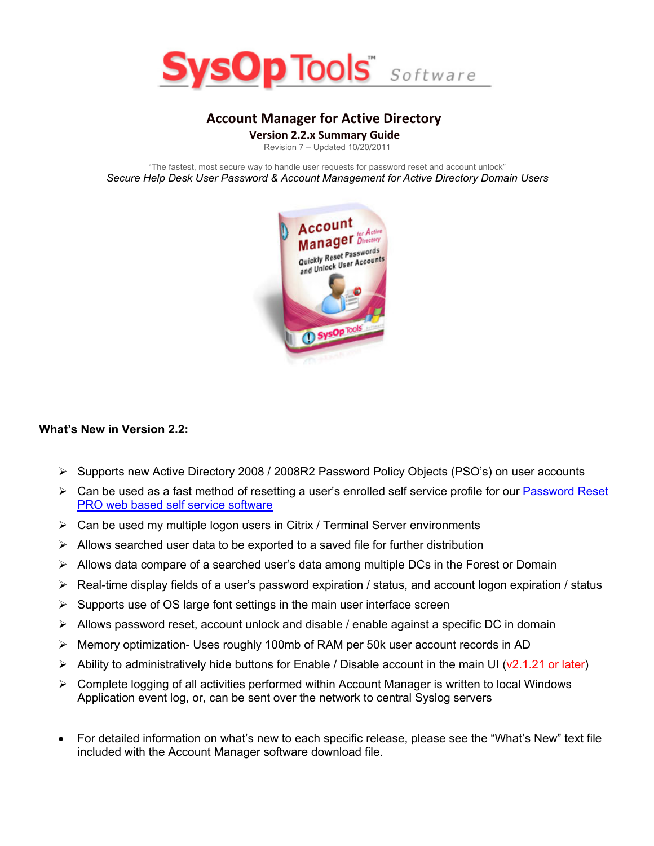

# **Account Manager for Active Directory**

**Version 2.2.x Summary Guide** 

Revision 7 – Updated 10/20/2011

"The fastest, most secure way to handle user requests for password reset and account unlock" *Secure Help Desk User Password & Account Management for Active Directory Domain Users*



#### **What's New in Version 2.2:**

- Ø Supports new Active Directory 2008 / 2008R2 Password Policy Objects (PSO's) on user accounts
- $\triangleright$  Can be used as a fast method of resetting a user's enrolled self service profile for our Password Reset PRO web based self service software
- $\triangleright$  Can be used my multiple logon users in Citrix / Terminal Server environments
- $\triangleright$  Allows searched user data to be exported to a saved file for further distribution
- $\triangleright$  Allows data compare of a searched user's data among multiple DCs in the Forest or Domain
- $\triangleright$  Real-time display fields of a user's password expiration / status, and account logon expiration / status
- $\triangleright$  Supports use of OS large font settings in the main user interface screen
- $\triangleright$  Allows password reset, account unlock and disable / enable against a specific DC in domain
- Ø Memory optimization- Uses roughly 100mb of RAM per 50k user account records in AD
- $\triangleright$  Ability to administratively hide buttons for Enable / Disable account in the main UI (v2.1.21 or later)
- $\triangleright$  Complete logging of all activities performed within Account Manager is written to local Windows Application event log, or, can be sent over the network to central Syslog servers
- For detailed information on what's new to each specific release, please see the "What's New" text file included with the Account Manager software download file.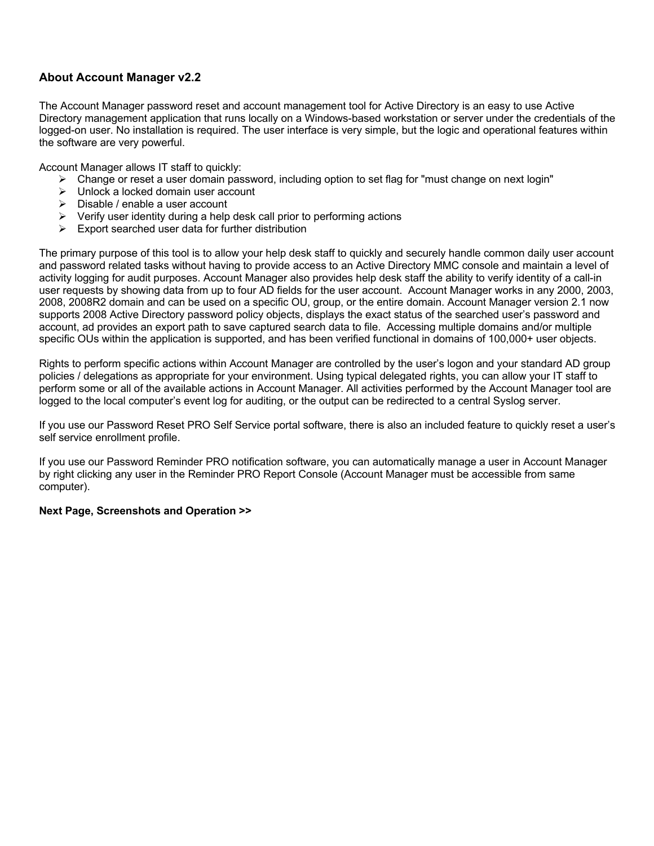## **About Account Manager v2.2**

The Account Manager password reset and account management tool for Active Directory is an easy to use Active Directory management application that runs locally on a Windows-based workstation or server under the credentials of the logged-on user. No installation is required. The user interface is very simple, but the logic and operational features within the software are very powerful.

Account Manager allows IT staff to quickly:

- $\triangleright$  Change or reset a user domain password, including option to set flag for "must change on next login"
- $\triangleright$  Unlock a locked domain user account
- $\triangleright$  Disable / enable a user account
- $\triangleright$  Verify user identity during a help desk call prior to performing actions
- $\triangleright$  Export searched user data for further distribution

The primary purpose of this tool is to allow your help desk staff to quickly and securely handle common daily user account and password related tasks without having to provide access to an Active Directory MMC console and maintain a level of activity logging for audit purposes. Account Manager also provides help desk staff the ability to verify identity of a call-in user requests by showing data from up to four AD fields for the user account. Account Manager works in any 2000, 2003, 2008, 2008R2 domain and can be used on a specific OU, group, or the entire domain. Account Manager version 2.1 now supports 2008 Active Directory password policy objects, displays the exact status of the searched user's password and account, ad provides an export path to save captured search data to file. Accessing multiple domains and/or multiple specific OUs within the application is supported, and has been verified functional in domains of 100,000+ user objects.

Rights to perform specific actions within Account Manager are controlled by the user's logon and your standard AD group policies / delegations as appropriate for your environment. Using typical delegated rights, you can allow your IT staff to perform some or all of the available actions in Account Manager. All activities performed by the Account Manager tool are logged to the local computer's event log for auditing, or the output can be redirected to a central Syslog server.

If you use our Password Reset PRO Self Service portal software, there is also an included feature to quickly reset a user's self service enrollment profile.

If you use our Password Reminder PRO notification software, you can automatically manage a user in Account Manager by right clicking any user in the Reminder PRO Report Console (Account Manager must be accessible from same computer).

#### **Next Page, Screenshots and Operation >>**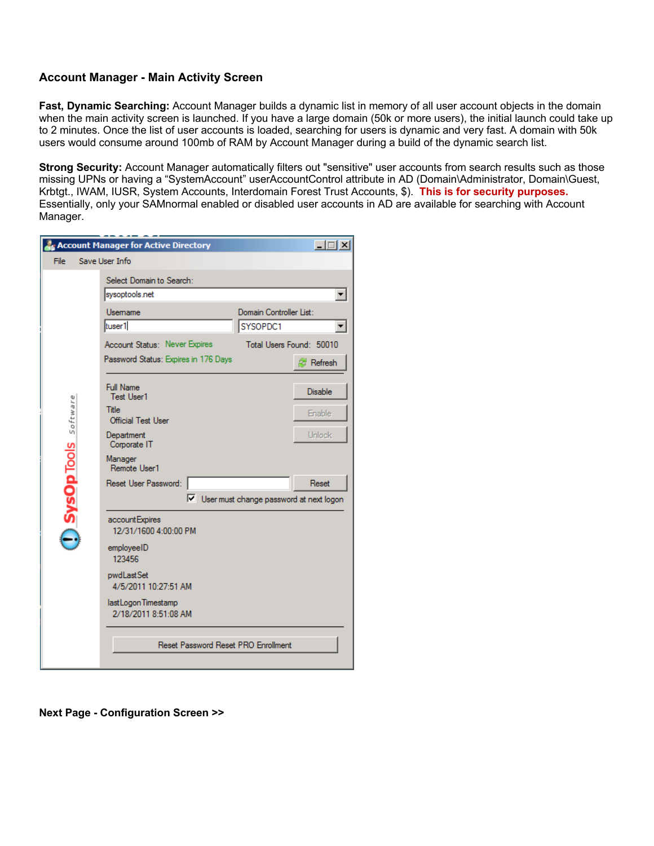## **Account Manager - Main Activity Screen**

**Fast, Dynamic Searching:** Account Manager builds a dynamic list in memory of all user account objects in the domain when the main activity screen is launched. If you have a large domain (50k or more users), the initial launch could take up to 2 minutes. Once the list of user accounts is loaded, searching for users is dynamic and very fast. A domain with 50k users would consume around 100mb of RAM by Account Manager during a build of the dynamic search list.

**Strong Security:** Account Manager automatically filters out "sensitive" user accounts from search results such as those missing UPNs or having a "SystemAccount" userAccountControl attribute in AD (Domain\Administrator, Domain\Guest, Krbtgt., IWAM, IUSR, System Accounts, Interdomain Forest Trust Accounts, \$). **This is for security purposes.** Essentially, only your SAMnormal enabled or disabled user accounts in AD are available for searching with Account Manager.

|                     | Account Manager for Active Directory                                                                                                                                                                                             | $\Box$                                                                                   |  |
|---------------------|----------------------------------------------------------------------------------------------------------------------------------------------------------------------------------------------------------------------------------|------------------------------------------------------------------------------------------|--|
| File                | Save User Info                                                                                                                                                                                                                   |                                                                                          |  |
|                     | Select Domain to Search:                                                                                                                                                                                                         |                                                                                          |  |
|                     | sysoptools.net                                                                                                                                                                                                                   |                                                                                          |  |
|                     | Usemame                                                                                                                                                                                                                          | Domain Controller List:                                                                  |  |
|                     | tuser1                                                                                                                                                                                                                           | SYSOPDC1                                                                                 |  |
|                     | Account Status: Never Expires                                                                                                                                                                                                    | Total Users Found: 50010                                                                 |  |
| SysOpTools software | Password Status: Expires in 176 Days                                                                                                                                                                                             | <sup>剑</sup> Refresh                                                                     |  |
|                     | <b>Full Name</b><br><b>Test User1</b><br>Title<br><b>Official Test User</b><br>Department<br>Corporate IT<br>Manager<br>Remote User1<br>Reset User Password:<br>account Expires<br>12/31/1600 4:00:00 PM<br>employeeID<br>123456 | <b>Disable</b><br>Enable<br>Unlock<br>Reset<br>V User must change password at next logon |  |
|                     | pwdLastSet<br>4/5/2011 10:27:51 AM                                                                                                                                                                                               |                                                                                          |  |
|                     | last Logon Timestamp<br>2/18/2011 8:51:08 AM                                                                                                                                                                                     |                                                                                          |  |
|                     | Reset Password Reset PRO Enrollment                                                                                                                                                                                              |                                                                                          |  |

**Next Page - Configuration Screen >>**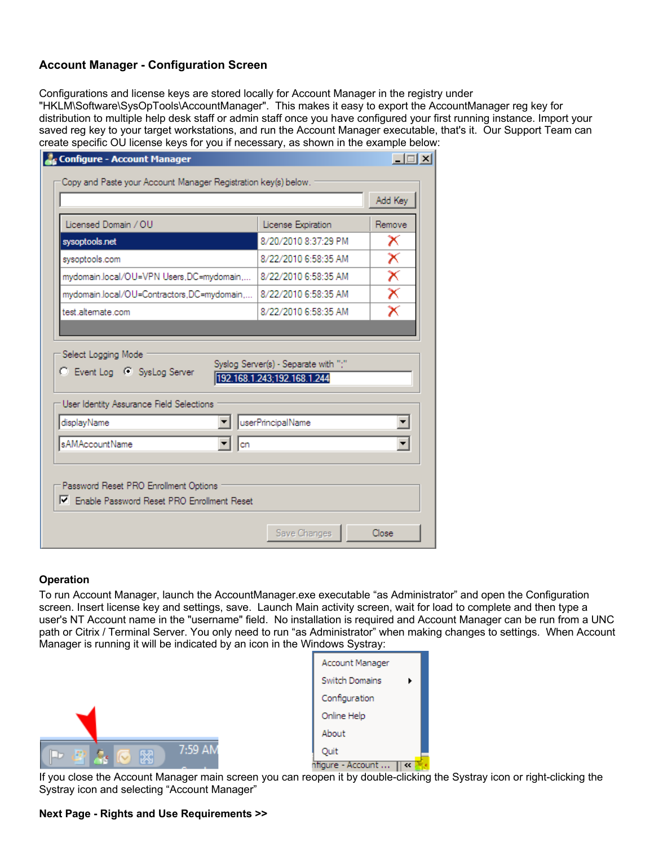# **Account Manager - Configuration Screen**

Configurations and license keys are stored locally for Account Manager in the registry under

"HKLM\Software\SysOpTools\AccountManager". This makes it easy to export the AccountManager reg key for distribution to multiple help desk staff or admin staff once you have configured your first running instance. Import your saved reg key to your target workstations, and run the Account Manager executable, that's it. Our Support Team can create specific OU license keys for you if necessary, as shown in the example below:

|                                                         |                             | Add Key                 |
|---------------------------------------------------------|-----------------------------|-------------------------|
| Licensed Domain / OU                                    | License Expiration          | Remove                  |
| sysoptools.net                                          | 8/20/2010 8:37:29 PM        | x                       |
| sysoptools.com                                          | 8/22/2010 6:58:35 AM        | $\overline{\textsf{x}}$ |
| mydomain.local/OU=VPN Users,DC=mydomain,                | 8/22/2010 6:58:35 AM        | $\overline{\textsf{x}}$ |
| mydomain.local/OU=Contractors,DC=mydomain,              | 8/22/2010 6:58:35 AM        | $\overline{\textsf{x}}$ |
| test alternate com                                      | 8/22/2010 6:58:35 AM        | $\overline{\mathsf{x}}$ |
| C Event Log C SysLog Server                             | 192.168.1.243;192.168.1.244 |                         |
| User Identity Assurance Field Selections<br>displayName | userPrincipalName           |                         |
| sAMAccountName<br>lcn                                   |                             |                         |
|                                                         |                             |                         |

#### **Operation**

To run Account Manager, launch the AccountManager.exe executable "as Administrator" and open the Configuration screen. Insert license key and settings, save. Launch Main activity screen, wait for load to complete and then type a user's NT Account name in the "username" field. No installation is required and Account Manager can be run from a UNC path or Citrix / Terminal Server. You only need to run "as Administrator" when making changes to settings. When Account Manager is running it will be indicated by an icon in the Windows Systray:



| Account Manager |  |
|-----------------|--|
| Switch Domains  |  |
| Configuration   |  |
| Online Help     |  |
| About           |  |
| Quit            |  |
| re - Account    |  |

If you close the Account Manager main screen you can reopen it by double-clicking the Systray icon or right-clicking the Systray icon and selecting "Account Manager"

#### **Next Page - Rights and Use Requirements >>**